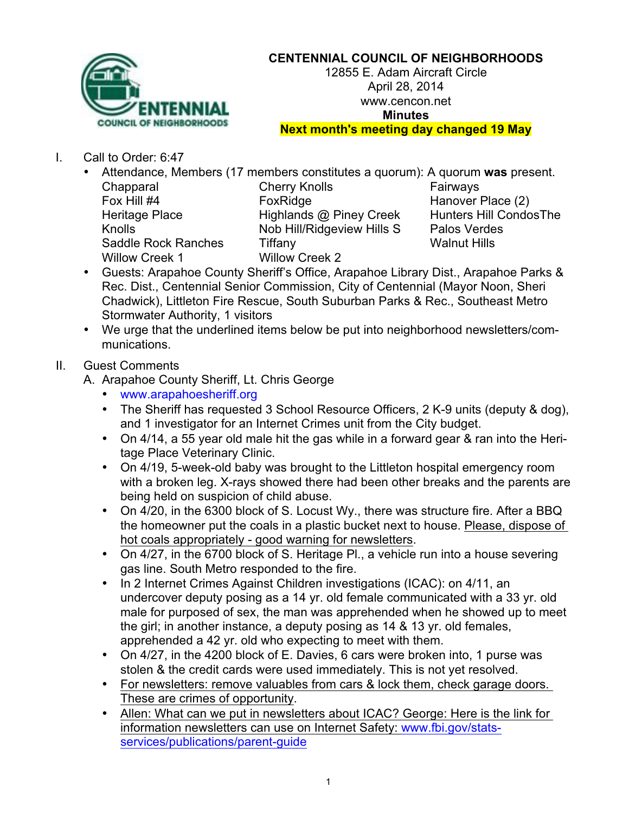

## **CENTENNIAL COUNCIL OF NEIGHBORHOODS**

12855 E. Adam Aircraft Circle April 28, 2014 www.cencon.net **Minutes**

**Next month's meeting day changed 19 May**

I. Call to Order: 6:47

| Attendance, Members (17 members constitu |                       |
|------------------------------------------|-----------------------|
| Chapparal                                | <b>Cherry Knolls</b>  |
| Fox Hill #4                              | FoxRidge              |
| <b>Heritage Place</b>                    | Highlands @ Pi        |
| Knolls                                   | Nob Hill/Ridgev       |
| <b>Saddle Rock Ranches</b>               | Tiffany               |
| <b>Willow Creek 1</b>                    | <b>Willow Creek 2</b> |

bers constitutes a quorum): A quorum was present. erry Knolls Fairways  $R = R \cdot R$  Fox Hanover Place (2) ghlands @ Piney Creek Hunters Hill CondosThe b Hill/Ridgeview Hills S Palos Verdes Sany Sample Rock Ranches Times Times Number and Walnut Hills

- Guests: Arapahoe County Sheriff's Office, Arapahoe Library Dist., Arapahoe Parks & Rec. Dist., Centennial Senior Commission, City of Centennial (Mayor Noon, Sheri Chadwick), Littleton Fire Rescue, South Suburban Parks & Rec., Southeast Metro Stormwater Authority, 1 visitors
- We urge that the underlined items below be put into neighborhood newsletters/communications.
- II. Guest Comments
	- A. Arapahoe County Sheriff, Lt. Chris George
		- www.arapahoesheriff.org
		- The Sheriff has requested 3 School Resource Officers, 2 K-9 units (deputy & dog), and 1 investigator for an Internet Crimes unit from the City budget.
		- On 4/14, a 55 year old male hit the gas while in a forward gear & ran into the Heritage Place Veterinary Clinic.
		- On 4/19, 5-week-old baby was brought to the Littleton hospital emergency room with a broken leg. X-rays showed there had been other breaks and the parents are being held on suspicion of child abuse.
		- On 4/20, in the 6300 block of S. Locust Wy., there was structure fire. After a BBQ the homeowner put the coals in a plastic bucket next to house. Please, dispose of hot coals appropriately - good warning for newsletters.
		- On 4/27, in the 6700 block of S. Heritage Pl., a vehicle run into a house severing gas line. South Metro responded to the fire.
		- In 2 Internet Crimes Against Children investigations (ICAC): on 4/11, an undercover deputy posing as a 14 yr. old female communicated with a 33 yr. old male for purposed of sex, the man was apprehended when he showed up to meet the girl; in another instance, a deputy posing as 14 & 13 yr. old females, apprehended a 42 yr. old who expecting to meet with them.
		- On 4/27, in the 4200 block of E. Davies, 6 cars were broken into, 1 purse was stolen & the credit cards were used immediately. This is not yet resolved.
		- For newsletters: remove valuables from cars & lock them, check garage doors. These are crimes of opportunity.
		- Allen: What can we put in newsletters about ICAC? George: Here is the link for information newsletters can use on Internet Safety: www.fbi.gov/statsservices/publications/parent-guide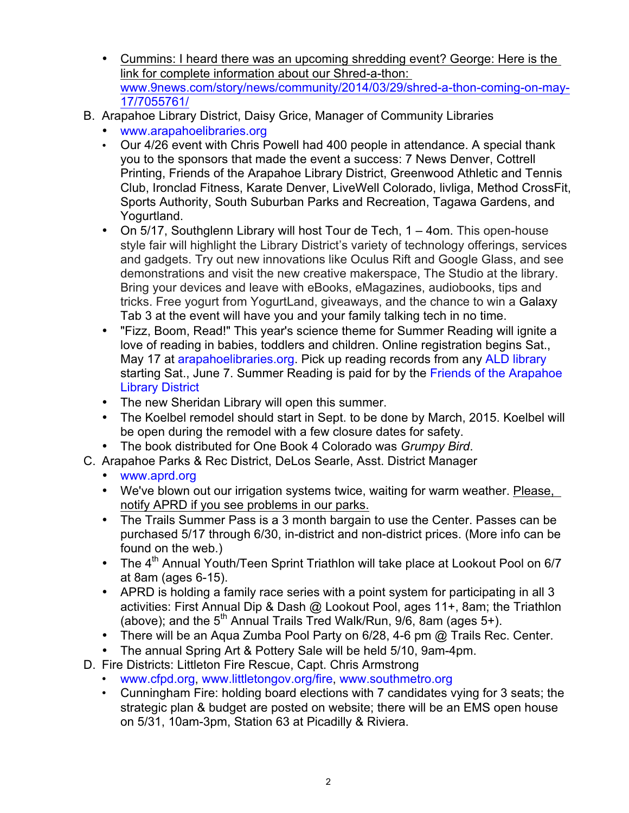- Cummins: I heard there was an upcoming shredding event? George: Here is the link for complete information about our Shred-a-thon: www.9news.com/story/news/community/2014/03/29/shred-a-thon-coming-on-may-17/7055761/
- B. Arapahoe Library District, Daisy Grice, Manager of Community Libraries
	- www.arapahoelibraries.org
	- Our 4/26 event with Chris Powell had 400 people in attendance. A special thank you to the sponsors that made the event a success: 7 News Denver, Cottrell Printing, Friends of the Arapahoe Library District, Greenwood Athletic and Tennis Club, Ironclad Fitness, Karate Denver, LiveWell Colorado, livliga, Method CrossFit, Sports Authority, South Suburban Parks and Recreation, Tagawa Gardens, and Yogurtland.
	- On 5/17, Southglenn Library will host Tour de Tech, 1 4om. This open-house style fair will highlight the Library District's variety of technology offerings, services and gadgets. Try out new innovations like Oculus Rift and Google Glass, and see demonstrations and visit the new creative makerspace, The Studio at the library. Bring your devices and leave with eBooks, eMagazines, audiobooks, tips and tricks. Free yogurt from YogurtLand, giveaways, and the chance to win a Galaxy Tab 3 at the event will have you and your family talking tech in no time.
	- "Fizz, Boom, Read!" This year's science theme for Summer Reading will ignite a love of reading in babies, toddlers and children. Online registration begins Sat., May 17 at arapahoelibraries.org. Pick up reading records from any ALD library starting Sat., June 7. Summer Reading is paid for by the Friends of the Arapahoe Library District
	- The new Sheridan Library will open this summer.
	- The Koelbel remodel should start in Sept. to be done by March, 2015. Koelbel will be open during the remodel with a few closure dates for safety.
	- The book distributed for One Book 4 Colorado was *Grumpy Bird*.
- C. Arapahoe Parks & Rec District, DeLos Searle, Asst. District Manager
	- www.aprd.org
	- We've blown out our irrigation systems twice, waiting for warm weather. Please, notify APRD if you see problems in our parks.
	- The Trails Summer Pass is a 3 month bargain to use the Center. Passes can be purchased 5/17 through 6/30, in-district and non-district prices. (More info can be found on the web.)
	- The 4<sup>th</sup> Annual Youth/Teen Sprint Triathlon will take place at Lookout Pool on 6/7 at 8am (ages 6-15).
	- APRD is holding a family race series with a point system for participating in all 3 activities: First Annual Dip & Dash @ Lookout Pool, ages 11+, 8am; the Triathlon (above); and the  $5<sup>th</sup>$  Annual Trails Tred Walk/Run,  $9/6$ , 8am (ages  $5+$ ).
	- There will be an Aqua Zumba Pool Party on 6/28, 4-6 pm @ Trails Rec. Center.
	- The annual Spring Art & Pottery Sale will be held 5/10, 9am-4pm.
- D. Fire Districts: Littleton Fire Rescue, Capt. Chris Armstrong
	- www.cfpd.org, www.littletongov.org/fire, www.southmetro.org
	- Cunningham Fire: holding board elections with 7 candidates vying for 3 seats; the strategic plan & budget are posted on website; there will be an EMS open house on 5/31, 10am-3pm, Station 63 at Picadilly & Riviera.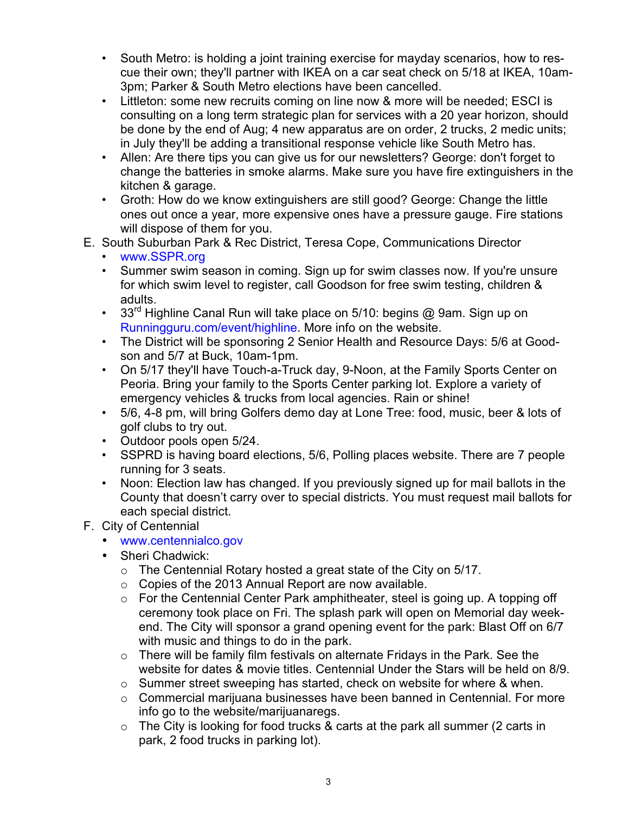- South Metro: is holding a joint training exercise for mayday scenarios, how to rescue their own; they'll partner with IKEA on a car seat check on 5/18 at IKEA, 10am-3pm; Parker & South Metro elections have been cancelled.
- Littleton: some new recruits coming on line now & more will be needed; ESCI is consulting on a long term strategic plan for services with a 20 year horizon, should be done by the end of Aug; 4 new apparatus are on order, 2 trucks, 2 medic units; in July they'll be adding a transitional response vehicle like South Metro has.
- Allen: Are there tips you can give us for our newsletters? George: don't forget to change the batteries in smoke alarms. Make sure you have fire extinguishers in the kitchen & garage.
- Groth: How do we know extinguishers are still good? George: Change the little ones out once a year, more expensive ones have a pressure gauge. Fire stations will dispose of them for you.
- E. South Suburban Park & Rec District, Teresa Cope, Communications Director
	- www.SSPR.org
	- Summer swim season in coming. Sign up for swim classes now. If you're unsure for which swim level to register, call Goodson for free swim testing, children & adults.
	- 33<sup>rd</sup> Highline Canal Run will take place on 5/10: begins @ 9am. Sign up on Runningguru.com/event/highline. More info on the website.
	- The District will be sponsoring 2 Senior Health and Resource Days: 5/6 at Goodson and 5/7 at Buck, 10am-1pm.
	- On 5/17 they'll have Touch-a-Truck day, 9-Noon, at the Family Sports Center on Peoria. Bring your family to the Sports Center parking lot. Explore a variety of emergency vehicles & trucks from local agencies. Rain or shine!
	- 5/6, 4-8 pm, will bring Golfers demo day at Lone Tree: food, music, beer & lots of golf clubs to try out.
	- Outdoor pools open 5/24.
	- SSPRD is having board elections, 5/6, Polling places website. There are 7 people running for 3 seats.
	- Noon: Election law has changed. If you previously signed up for mail ballots in the County that doesn't carry over to special districts. You must request mail ballots for each special district.
- F. City of Centennial
	- www.centennialco.gov
	- Sheri Chadwick:
		- o The Centennial Rotary hosted a great state of the City on 5/17.
		- o Copies of the 2013 Annual Report are now available.
		- $\circ$  For the Centennial Center Park amphitheater, steel is going up. A topping off ceremony took place on Fri. The splash park will open on Memorial day weekend. The City will sponsor a grand opening event for the park: Blast Off on 6/7 with music and things to do in the park.
		- o There will be family film festivals on alternate Fridays in the Park. See the website for dates & movie titles. Centennial Under the Stars will be held on 8/9.
		- o Summer street sweeping has started, check on website for where & when.
		- o Commercial marijuana businesses have been banned in Centennial. For more info go to the website/marijuanaregs.
		- $\circ$  The City is looking for food trucks & carts at the park all summer (2 carts in park, 2 food trucks in parking lot).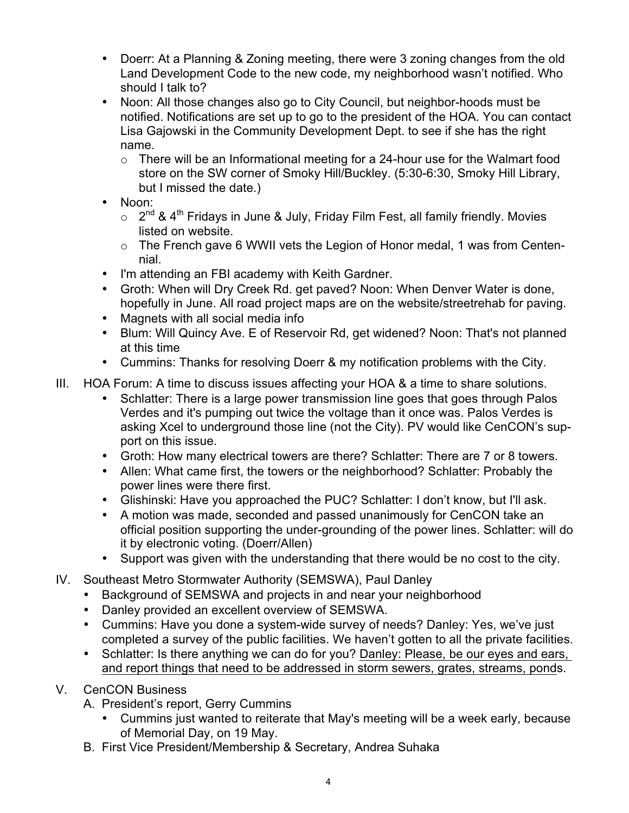- Doerr: At a Planning & Zoning meeting, there were 3 zoning changes from the old Land Development Code to the new code, my neighborhood wasn't notified. Who should I talk to?
- Noon: All those changes also go to City Council, but neighbor-hoods must be notified. Notifications are set up to go to the president of the HOA. You can contact Lisa Gajowski in the Community Development Dept. to see if she has the right name.
	- $\circ$  There will be an Informational meeting for a 24-hour use for the Walmart food store on the SW corner of Smoky Hill/Buckley. (5:30-6:30, Smoky Hill Library, but I missed the date.)
- Noon:
	- $\circ$  2<sup>nd</sup> & 4<sup>th</sup> Fridays in June & July, Friday Film Fest, all family friendly. Movies listed on website.
	- o The French gave 6 WWII vets the Legion of Honor medal, 1 was from Centennial.
- I'm attending an FBI academy with Keith Gardner.
- Groth: When will Dry Creek Rd. get paved? Noon: When Denver Water is done, hopefully in June. All road project maps are on the website/streetrehab for paving.
- Magnets with all social media info
- Blum: Will Quincy Ave. E of Reservoir Rd, get widened? Noon: That's not planned at this time
- Cummins: Thanks for resolving Doerr & my notification problems with the City.
- III. HOA Forum: A time to discuss issues affecting your HOA & a time to share solutions.
	- Schlatter: There is a large power transmission line goes that goes through Palos Verdes and it's pumping out twice the voltage than it once was. Palos Verdes is asking Xcel to underground those line (not the City). PV would like CenCON's support on this issue.
	- Groth: How many electrical towers are there? Schlatter: There are 7 or 8 towers.
	- Allen: What came first, the towers or the neighborhood? Schlatter: Probably the power lines were there first.
	- Glishinski: Have you approached the PUC? Schlatter: I don't know, but I'll ask.
	- A motion was made, seconded and passed unanimously for CenCON take an official position supporting the under-grounding of the power lines. Schlatter: will do it by electronic voting. (Doerr/Allen)
	- Support was given with the understanding that there would be no cost to the city.
- IV. Southeast Metro Stormwater Authority (SEMSWA), Paul Danley
	- Background of SEMSWA and projects in and near your neighborhood
	- Danley provided an excellent overview of SEMSWA.
	- Cummins: Have you done a system-wide survey of needs? Danley: Yes, we've just completed a survey of the public facilities. We haven't gotten to all the private facilities.
	- Schlatter: Is there anything we can do for you? Danley: Please, be our eyes and ears, and report things that need to be addressed in storm sewers, grates, streams, ponds.
- V. CenCON Business
	- A. President's report, Gerry Cummins
		- Cummins just wanted to reiterate that May's meeting will be a week early, because of Memorial Day, on 19 May.
	- B. First Vice President/Membership & Secretary, Andrea Suhaka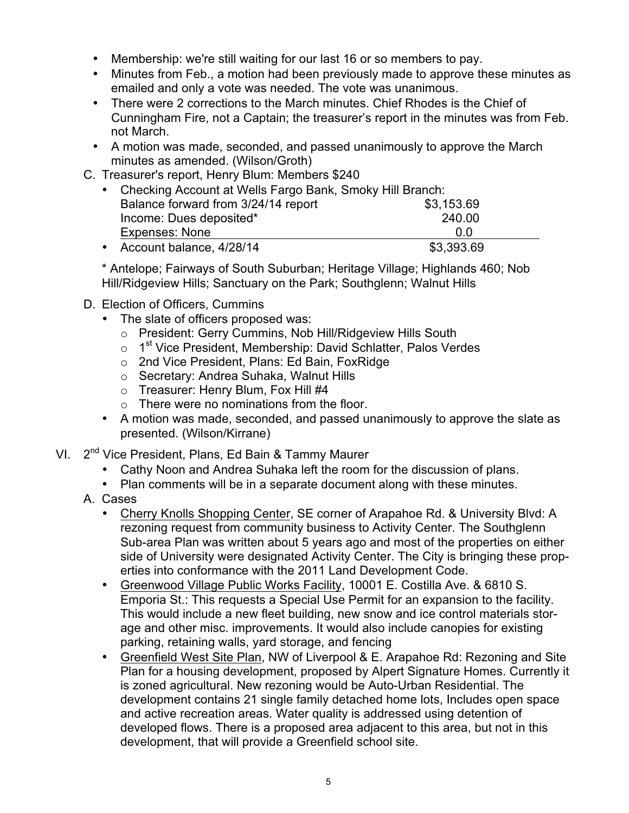- Membership: we're still waiting for our last 16 or so members to pay.
- Minutes from Feb., a motion had been previously made to approve these minutes as emailed and only a vote was needed. The vote was unanimous.
- There were 2 corrections to the March minutes. Chief Rhodes is the Chief of Cunningham Fire, not a Captain; the treasurer's report in the minutes was from Feb. not March.
- A motion was made, seconded, and passed unanimously to approve the March minutes as amended. (Wilson/Groth)
- C. Treasurer's report, Henry Blum: Members \$240

| • Checking Account at Wells Fargo Bank, Smoky Hill Branch: |            |  |
|------------------------------------------------------------|------------|--|
| Balance forward from 3/24/14 report                        | \$3,153.69 |  |
| Income: Dues deposited*                                    | 240.00     |  |
| Expenses: None                                             | 0.0        |  |
| • Account balance, 4/28/14                                 | \$3,393.69 |  |

\* Antelope; Fairways of South Suburban; Heritage Village; Highlands 460; Nob Hill/Ridgeview Hills; Sanctuary on the Park; Southglenn; Walnut Hills

- D. Election of Officers, Cummins
	- The slate of officers proposed was:
		- o President: Gerry Cummins, Nob Hill/Ridgeview Hills South
		- $\circ$  1<sup>st</sup> Vice President, Membership: David Schlatter, Palos Verdes
		- o 2nd Vice President, Plans: Ed Bain, FoxRidge
		- o Secretary: Andrea Suhaka, Walnut Hills
		- o Treasurer: Henry Blum, Fox Hill #4
		- $\circ$  There were no nominations from the floor.
	- A motion was made, seconded, and passed unanimously to approve the slate as presented. (Wilson/Kirrane)
- VI. 2<sup>nd</sup> Vice President, Plans, Ed Bain & Tammy Maurer
	- Cathy Noon and Andrea Suhaka left the room for the discussion of plans.
	- Plan comments will be in a separate document along with these minutes.
	- A. Cases
		- Cherry Knolls Shopping Center, SE corner of Arapahoe Rd. & University Blvd: A rezoning request from community business to Activity Center. The Southglenn Sub-area Plan was written about 5 years ago and most of the properties on either side of University were designated Activity Center. The City is bringing these properties into conformance with the 2011 Land Development Code.
		- Greenwood Village Public Works Facility, 10001 E. Costilla Ave. & 6810 S. Emporia St.: This requests a Special Use Permit for an expansion to the facility. This would include a new fleet building, new snow and ice control materials storage and other misc. improvements. It would also include canopies for existing parking, retaining walls, yard storage, and fencing
		- Greenfield West Site Plan, NW of Liverpool & E. Arapahoe Rd: Rezoning and Site Plan for a housing development, proposed by Alpert Signature Homes. Currently it is zoned agricultural. New rezoning would be Auto-Urban Residential. The development contains 21 single family detached home lots, Includes open space and active recreation areas. Water quality is addressed using detention of developed flows. There is a proposed area adjacent to this area, but not in this development, that will provide a Greenfield school site.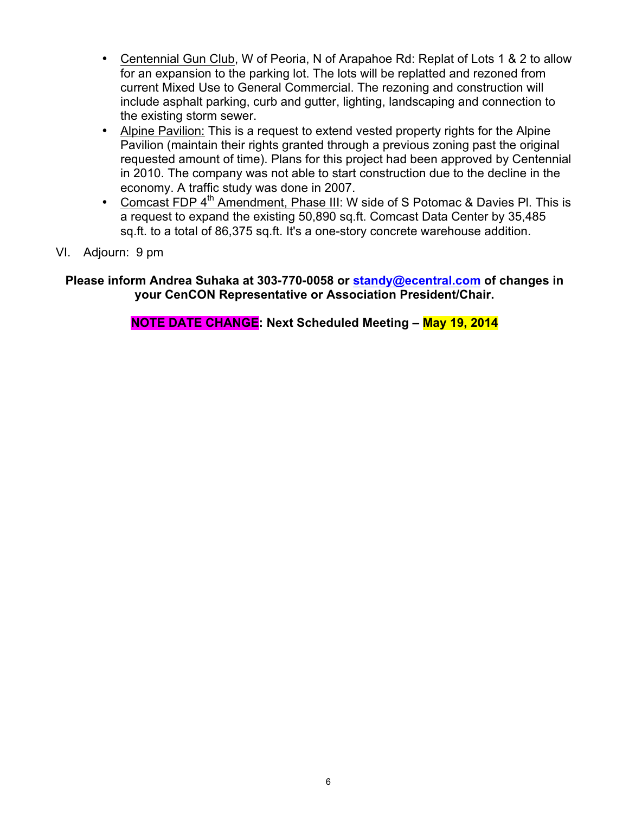- Centennial Gun Club, W of Peoria, N of Arapahoe Rd: Replat of Lots 1 & 2 to allow for an expansion to the parking lot. The lots will be replatted and rezoned from current Mixed Use to General Commercial. The rezoning and construction will include asphalt parking, curb and gutter, lighting, landscaping and connection to the existing storm sewer.
- Alpine Pavilion: This is a request to extend vested property rights for the Alpine Pavilion (maintain their rights granted through a previous zoning past the original requested amount of time). Plans for this project had been approved by Centennial in 2010. The company was not able to start construction due to the decline in the economy. A traffic study was done in 2007.
- Comcast FDP 4<sup>th</sup> Amendment, Phase III: W side of S Potomac & Davies PI. This is a request to expand the existing 50,890 sq.ft. Comcast Data Center by 35,485 sq.ft. to a total of 86,375 sq.ft. It's a one-story concrete warehouse addition.
- VI. Adjourn: 9 pm

**Please inform Andrea Suhaka at 303-770-0058 or standy@ecentral.com of changes in your CenCON Representative or Association President/Chair.**

**NOTE DATE CHANGE: Next Scheduled Meeting – May 19, 2014**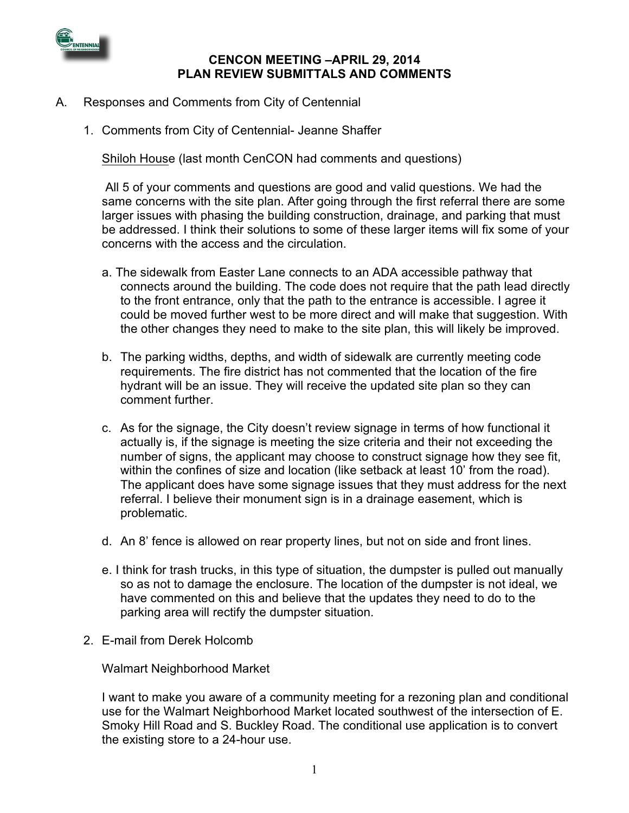

## **CENCON MEETING –APRIL 29, 2014 PLAN REVIEW SUBMITTALS AND COMMENTS**

- A. Responses and Comments from City of Centennial
	- 1. Comments from City of Centennial- Jeanne Shaffer

Shiloh House (last month CenCON had comments and questions)

All 5 of your comments and questions are good and valid questions. We had the same concerns with the site plan. After going through the first referral there are some larger issues with phasing the building construction, drainage, and parking that must be addressed. I think their solutions to some of these larger items will fix some of your concerns with the access and the circulation.

- a. The sidewalk from Easter Lane connects to an ADA accessible pathway that connects around the building. The code does not require that the path lead directly to the front entrance, only that the path to the entrance is accessible. I agree it could be moved further west to be more direct and will make that suggestion. With the other changes they need to make to the site plan, this will likely be improved.
- b. The parking widths, depths, and width of sidewalk are currently meeting code requirements. The fire district has not commented that the location of the fire hydrant will be an issue. They will receive the updated site plan so they can comment further.
- c. As for the signage, the City doesn't review signage in terms of how functional it actually is, if the signage is meeting the size criteria and their not exceeding the number of signs, the applicant may choose to construct signage how they see fit, within the confines of size and location (like setback at least 10' from the road). The applicant does have some signage issues that they must address for the next referral. I believe their monument sign is in a drainage easement, which is problematic.
- d. An 8' fence is allowed on rear property lines, but not on side and front lines.
- e. I think for trash trucks, in this type of situation, the dumpster is pulled out manually so as not to damage the enclosure. The location of the dumpster is not ideal, we have commented on this and believe that the updates they need to do to the parking area will rectify the dumpster situation.
- 2. E-mail from Derek Holcomb

Walmart Neighborhood Market

I want to make you aware of a community meeting for a rezoning plan and conditional use for the Walmart Neighborhood Market located southwest of the intersection of E. Smoky Hill Road and S. Buckley Road. The conditional use application is to convert the existing store to a 24-hour use.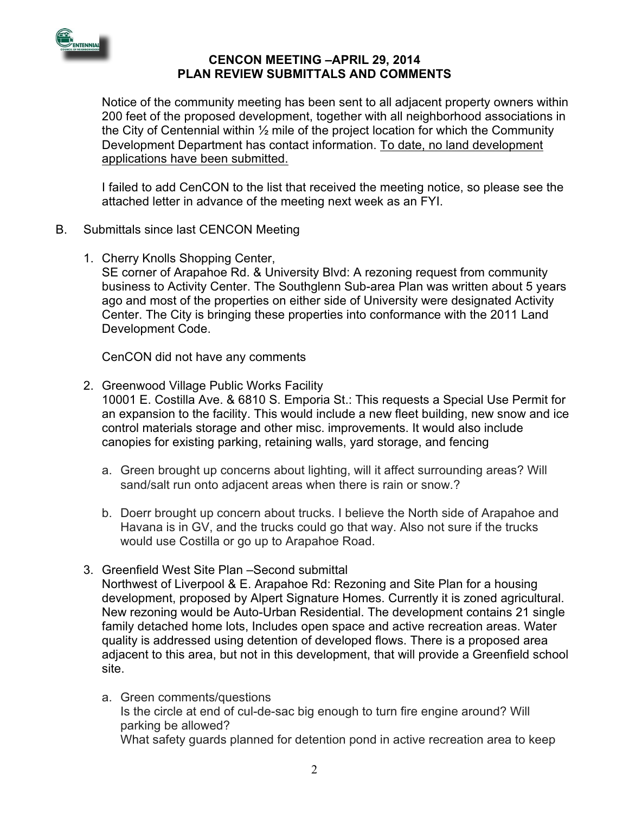

## **CENCON MEETING –APRIL 29, 2014 PLAN REVIEW SUBMITTALS AND COMMENTS**

Notice of the community meeting has been sent to all adjacent property owners within 200 feet of the proposed development, together with all neighborhood associations in the City of Centennial within  $\frac{1}{2}$  mile of the project location for which the Community Development Department has contact information. To date, no land development applications have been submitted.

I failed to add CenCON to the list that received the meeting notice, so please see the attached letter in advance of the meeting next week as an FYI.

- B. Submittals since last CENCON Meeting
	- 1. Cherry Knolls Shopping Center,

SE corner of Arapahoe Rd. & University Blvd: A rezoning request from community business to Activity Center. The Southglenn Sub-area Plan was written about 5 years ago and most of the properties on either side of University were designated Activity Center. The City is bringing these properties into conformance with the 2011 Land Development Code.

CenCON did not have any comments

- 2. Greenwood Village Public Works Facility 10001 E. Costilla Ave. & 6810 S. Emporia St.: This requests a Special Use Permit for an expansion to the facility. This would include a new fleet building, new snow and ice control materials storage and other misc. improvements. It would also include canopies for existing parking, retaining walls, yard storage, and fencing
	- a. Green brought up concerns about lighting, will it affect surrounding areas? Will sand/salt run onto adjacent areas when there is rain or snow.?
	- b. Doerr brought up concern about trucks. I believe the North side of Arapahoe and Havana is in GV, and the trucks could go that way. Also not sure if the trucks would use Costilla or go up to Arapahoe Road.
- 3. Greenfield West Site Plan –Second submittal

Northwest of Liverpool & E. Arapahoe Rd: Rezoning and Site Plan for a housing development, proposed by Alpert Signature Homes. Currently it is zoned agricultural. New rezoning would be Auto-Urban Residential. The development contains 21 single family detached home lots, Includes open space and active recreation areas. Water quality is addressed using detention of developed flows. There is a proposed area adjacent to this area, but not in this development, that will provide a Greenfield school site.

a. Green comments/questions Is the circle at end of cul-de-sac big enough to turn fire engine around? Will parking be allowed? What safety guards planned for detention pond in active recreation area to keep